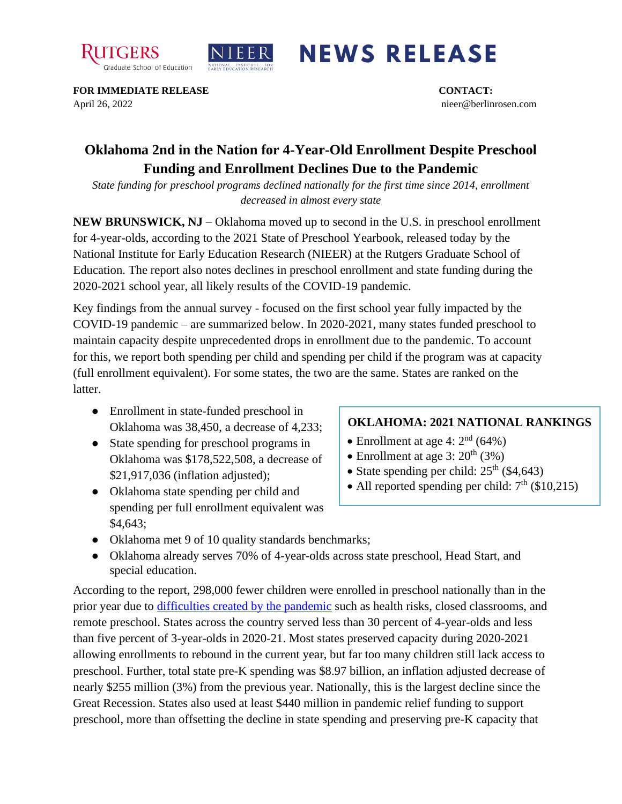



## **NEWS RELEASE**

**FOR IMMEDIATE RELEASE CONTACT:**  April 26, 2022 nieer@berlinrosen.com

## **Oklahoma 2nd in the Nation for 4-Year-Old Enrollment Despite Preschool Funding and Enrollment Declines Due to the Pandemic**

*State funding for preschool programs declined nationally for the first time since 2014, enrollment decreased in almost every state*

**NEW BRUNSWICK, NJ** – Oklahoma moved up to second in the U.S. in preschool enrollment for 4-year-olds, according to the 2021 State of Preschool Yearbook, released today by the National Institute for Early Education Research (NIEER) at the Rutgers Graduate School of Education. The report also notes declines in preschool enrollment and state funding during the 2020-2021 school year, all likely results of the COVID-19 pandemic.

Key findings from the annual survey - focused on the first school year fully impacted by the COVID-19 pandemic – are summarized below. In 2020-2021, many states funded preschool to maintain capacity despite unprecedented drops in enrollment due to the pandemic. To account for this, we report both spending per child and spending per child if the program was at capacity (full enrollment equivalent). For some states, the two are the same. States are ranked on the latter.

- Enrollment in state-funded preschool in Oklahoma was 38,450, a decrease of 4,233;
- State spending for preschool programs in Oklahoma was \$178,522,508, a decrease of \$21,917,036 (inflation adjusted);
- Oklahoma state spending per child and spending per full enrollment equivalent was \$4,643;

## **OKLAHOMA: 2021 NATIONAL RANKINGS**

- Enrollment at age 4:  $2<sup>nd</sup>$  (64%)
- Enrollment at age  $3:20^{th}(3%)$
- State spending per child:  $25<sup>th</sup>$  (\$4,643)
- All reported spending per child:  $7<sup>th</sup>$  (\$10,215)
- Oklahoma met 9 of 10 quality standards benchmarks;
- Oklahoma already serves 70% of 4-year-olds across state preschool, Head Start, and special education.

According to the report, 298,000 fewer children were enrolled in preschool nationally than in the prior year due to [difficulties created by the pandemic](https://nieer.org/wp-content/uploads/2021/02/NIEER_Seven_Impacts_of_the_Pandemic_on_Young_Children_and_their_Parents.pdf) such as health risks, closed classrooms, and remote preschool. States across the country served less than 30 percent of 4-year-olds and less than five percent of 3-year-olds in 2020-21. Most states preserved capacity during 2020-2021 allowing enrollments to rebound in the current year, but far too many children still lack access to preschool. Further, total state pre-K spending was \$8.97 billion, an inflation adjusted decrease of nearly \$255 million (3%) from the previous year. Nationally, this is the largest decline since the Great Recession. States also used at least \$440 million in pandemic relief funding to support preschool, more than offsetting the decline in state spending and preserving pre-K capacity that